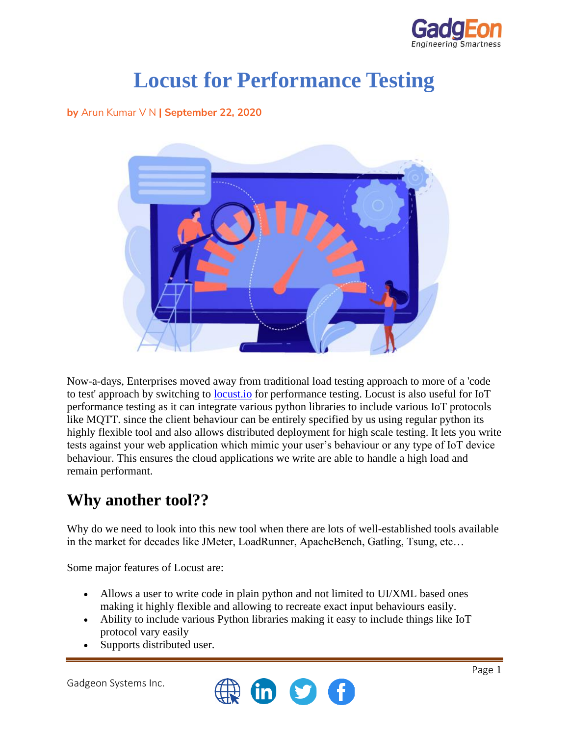

# **Locust for Performance Testing**

**by** Arun Kumar V N **| September 22, 2020**



Now-a-days, Enterprises moved away from traditional load testing approach to more of a 'code to test' approach by switching to [locust.io](http://locust.io/) for performance testing. Locust is also useful for IoT performance testing as it can integrate various python libraries to include various IoT protocols like MQTT. since the client behaviour can be entirely specified by us using regular python its highly flexible tool and also allows distributed deployment for high scale testing. It lets you write tests against your web application which mimic your user's behaviour or any type of IoT device behaviour. This ensures the cloud applications we write are able to handle a high load and remain performant.

#### **Why another tool??**

Why do we need to look into this new tool when there are lots of well-established tools available in the market for decades like JMeter, LoadRunner, ApacheBench, Gatling, Tsung, etc…

Some major features of Locust are:

- Allows a user to write code in plain python and not limited to UI/XML based ones making it highly flexible and allowing to recreate exact input behaviours easily.
- Ability to include various Python libraries making it easy to include things like IoT protocol vary easily
- Supports distributed user.

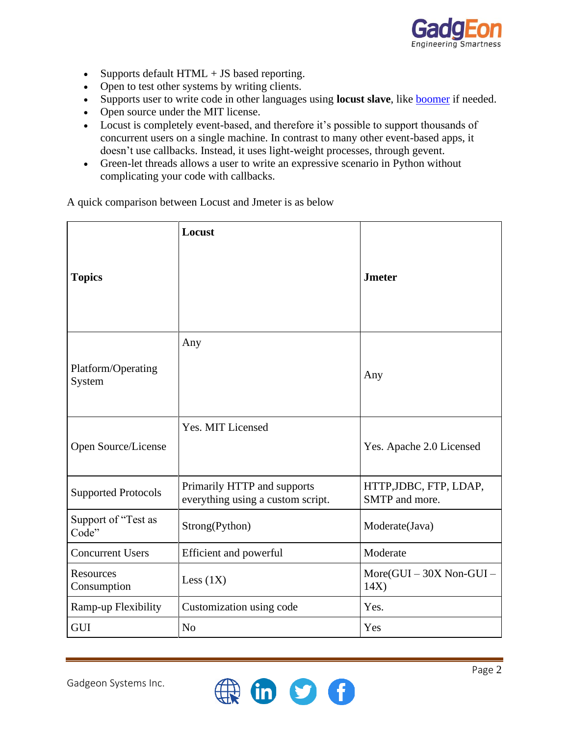

- Supports default HTML + JS based reporting.
- Open to test other systems by writing clients.
- Supports user to write code in other languages using **locust slave**, like **boomer** if needed.
- Open source under the MIT license.
- Locust is completely event-based, and therefore it's possible to support thousands of concurrent users on a single machine. In contrast to many other event-based apps, it doesn't use callbacks. Instead, it uses light-weight processes, through gevent.
- Green-let threads allows a user to write an expressive scenario in Python without complicating your code with callbacks.

A quick comparison between Locust and Jmeter is as below

|                                 | Locust                                                           |                                          |
|---------------------------------|------------------------------------------------------------------|------------------------------------------|
| <b>Topics</b>                   |                                                                  | <b>Jmeter</b>                            |
| Platform/Operating<br>System    | Any                                                              | Any                                      |
| Open Source/License             | Yes. MIT Licensed                                                | Yes. Apache 2.0 Licensed                 |
| <b>Supported Protocols</b>      | Primarily HTTP and supports<br>everything using a custom script. | HTTP, JDBC, FTP, LDAP,<br>SMTP and more. |
| Support of "Test as<br>Code"    | Strong(Python)                                                   | Moderate(Java)                           |
| <b>Concurrent Users</b>         | <b>Efficient and powerful</b>                                    | Moderate                                 |
| <b>Resources</b><br>Consumption | Less $(1X)$                                                      | More(GUI - 30X Non-GUI -<br>14X)         |
| Ramp-up Flexibility             | Customization using code                                         | Yes.                                     |
| <b>GUI</b>                      | N <sub>o</sub>                                                   | Yes                                      |

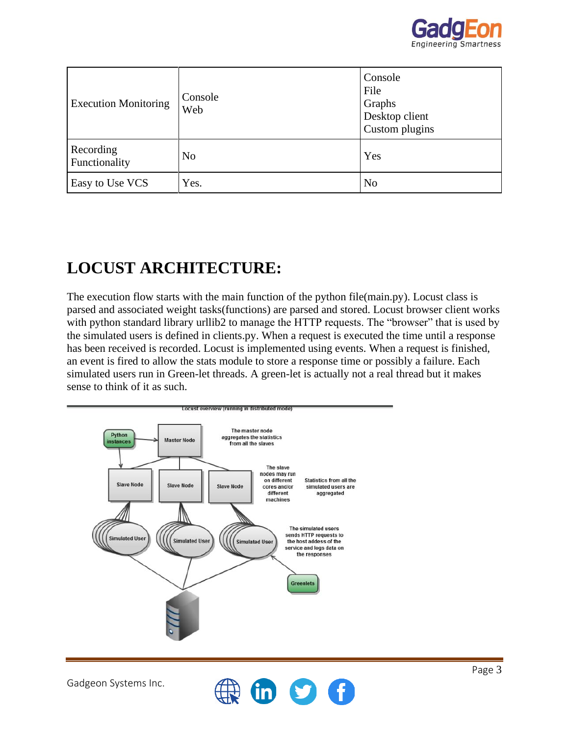

| <b>Execution Monitoring</b> | Console<br>Web | Console<br>File<br>Graphs<br>Desktop client<br>Custom plugins |
|-----------------------------|----------------|---------------------------------------------------------------|
| Recording<br>Functionality  | N <sub>o</sub> | Yes                                                           |
| Easy to Use VCS             | Yes.           | N <sub>o</sub>                                                |

## **LOCUST ARCHITECTURE:**

The execution flow starts with the main function of the python file(main.py). Locust class is parsed and associated weight tasks(functions) are parsed and stored. Locust browser client works with python standard library urllib2 to manage the HTTP requests. The "browser" that is used by the simulated users is defined in clients.py. When a request is executed the time until a response has been received is recorded. Locust is implemented using events. When a request is finished, an event is fired to allow the stats module to store a response time or possibly a failure. Each simulated users run in Green-let threads. A green-let is actually not a real thread but it makes sense to think of it as such.



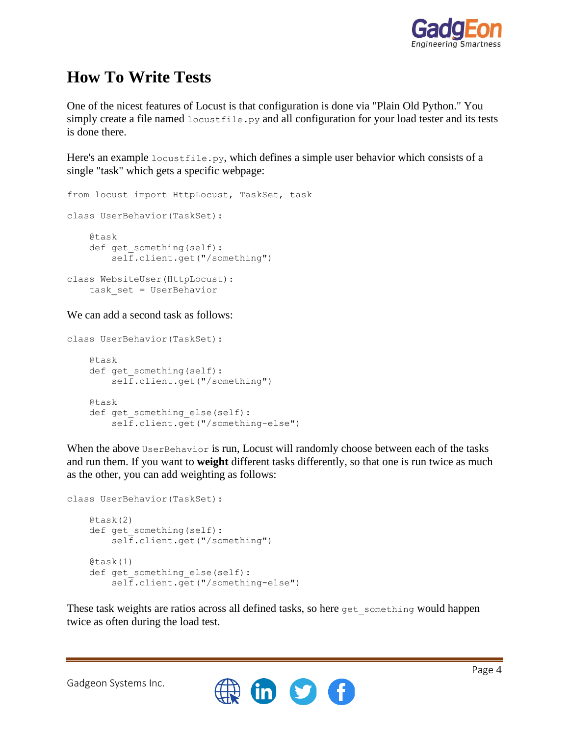

## **How To Write Tests**

One of the nicest features of Locust is that configuration is done via "Plain Old Python." You simply create a file named  $locustfile.py$  and all configuration for your load tester and its tests is done there.

Here's an example locustfile.py, which defines a simple user behavior which consists of a single "task" which gets a specific webpage:

```
from locust import HttpLocust, TaskSet, task
class UserBehavior(TaskSet):
     @task
    def get something(self):
         self.client.get("/something")
class WebsiteUser(HttpLocust):
     task_set = UserBehavior
```
We can add a second task as follows:

```
class UserBehavior(TaskSet):
     @task
    def get something(self):
         self.client.get("/something")
     @task
    def get something else(self):
         self.client.get("/something-else")
```
When the above UserBehavior is run, Locust will randomly choose between each of the tasks and run them. If you want to **weight** different tasks differently, so that one is run twice as much as the other, you can add weighting as follows:

```
class UserBehavior(TaskSet):
     @task(2)
    def get something(self):
         self.client.get("/something")
     @task(1)
    def get something else(self):
         self.client.get("/something-else")
```
These task weights are ratios across all defined tasks, so here get something would happen twice as often during the load test.

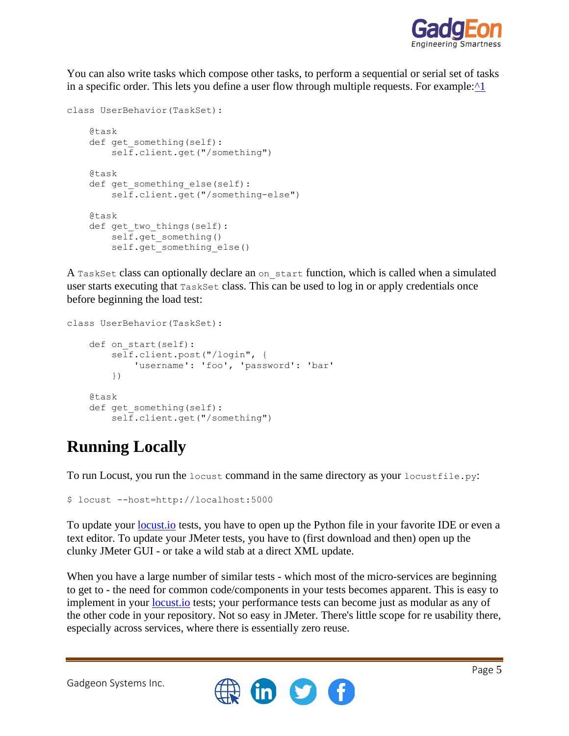

You can also write tasks which compose other tasks, to perform a sequential or serial set of tasks in a specific order. This lets you define a user flow through multiple requests. For example: $\wedge$ 1

```
class UserBehavior(TaskSet):
    Qtask
    def get something(self):
         self.client.get("/something")
     @task
    def get something else(self):
         self.client.get("/something-else")
     @task
    def get two things(self):
         self.get_something()
        self.get something else()
```
A TaskSet class can optionally declare an on\_start function, which is called when a simulated user starts executing that TaskSet class. This can be used to log in or apply credentials once before beginning the load test:

```
class UserBehavior(TaskSet):
    def on start(self):
         self.client.post("/login", {
            'username': 'foo', 'password': 'bar'
         })
     @task
    def get something(self):
         self.client.get("/something")
```
# **Running Locally**

To run Locust, you run the locust command in the same directory as your locustfile.py:

```
$ locust --host=http://localhost:5000
```
To update your <u>locust io</u> tests, you have to open up the Python file in your favorite IDE or even a text editor. To update your JMeter tests, you have to (first download and then) open up the clunky JMeter GUI - or take a wild stab at a direct XML update.

When you have a large number of similar tests - which most of the micro-services are beginning to get to - the need for common code/components in your tests becomes apparent. This is easy to implement in your **[locust.io](http://locust.io/)** tests; your performance tests can become just as modular as any of the other code in your repository. Not so easy in JMeter. There's little scope for re usability there, especially across services, where there is essentially zero reuse.

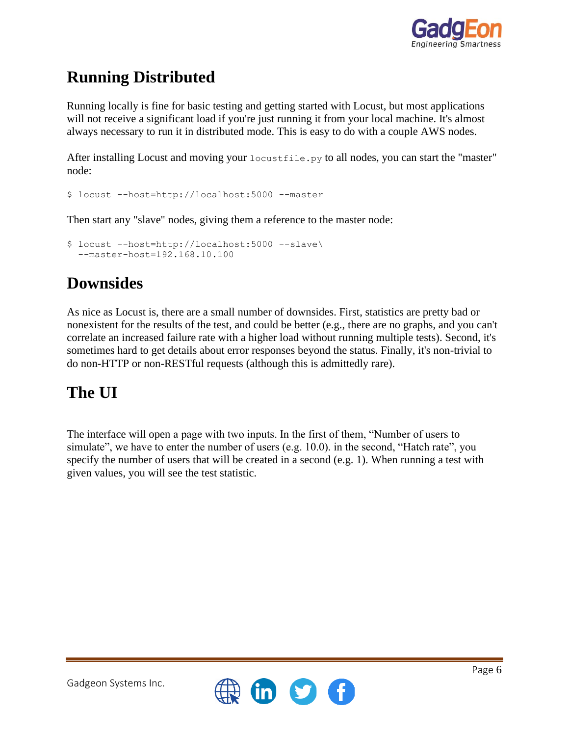

# **Running Distributed**

Running locally is fine for basic testing and getting started with Locust, but most applications will not receive a significant load if you're just running it from your local machine. It's almost always necessary to run it in distributed mode. This is easy to do with a couple AWS nodes.

After installing Locust and moving your locustfile.py to all nodes, you can start the "master" node:

```
$ locust --host=http://localhost:5000 --master
```
Then start any "slave" nodes, giving them a reference to the master node:

```
$ locust --host=http://localhost:5000 --slave\
   --master-host=192.168.10.100
```
### **Downsides**

As nice as Locust is, there are a small number of downsides. First, statistics are pretty bad or nonexistent for the results of the test, and could be better (e.g., there are no graphs, and you can't correlate an increased failure rate with a higher load without running multiple tests). Second, it's sometimes hard to get details about error responses beyond the status. Finally, it's non-trivial to do non-HTTP or non-RESTful requests (although this is admittedly rare).

#### **The UI**

The interface will open a page with two inputs. In the first of them, "Number of users to simulate", we have to enter the number of users (e.g. 10.0). in the second, "Hatch rate", you specify the number of users that will be created in a second (e.g. 1). When running a test with given values, you will see the test statistic.